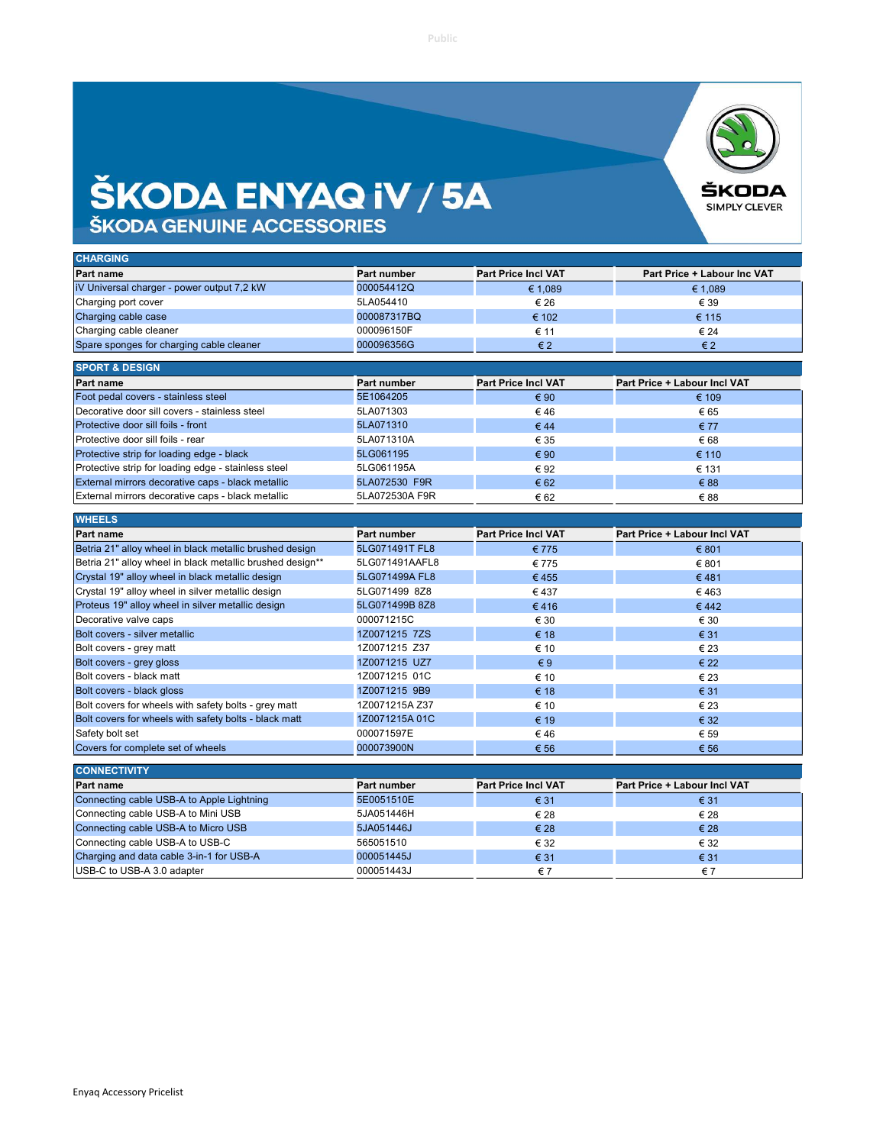## **ŠKODA ENYAQ IV / 5A**



| <b>CHARGING</b>                            |             |                            |                             |
|--------------------------------------------|-------------|----------------------------|-----------------------------|
| Part name                                  | Part number | <b>Part Price Incl VAT</b> | Part Price + Labour Inc VAT |
| iV Universal charger - power output 7,2 kW | 000054412Q  | € 1,089                    | € 1,089                     |
| Charging port cover                        | 5LA054410   | € 26                       | € 39                        |
| Charging cable case                        | 000087317BQ | € 102                      | € 115                       |
| Charging cable cleaner                     | 000096150F  | € 11                       | € 24                        |
| Spare sponges for charging cable cleaner   | 000096356G  | $\epsilon$ 2               | $\epsilon$ 2                |
|                                            |             |                            |                             |
| <b>SPORT &amp; DESIGN</b>                  |             |                            |                             |
|                                            |             |                            |                             |

| <b>Part name</b>                                    | Part number    | <b>Part Price Incl VAT</b> | <b>Part Price + Labour Incl VAT</b> |
|-----------------------------------------------------|----------------|----------------------------|-------------------------------------|
| Foot pedal covers - stainless steel                 | 5E1064205      | € 90                       | € 109                               |
| Decorative door sill covers - stainless steel       | 5LA071303      | €46                        | € 65                                |
| Protective door sill foils - front                  | 5LA071310      | €44                        | € 77                                |
| Protective door sill foils - rear                   | 5LA071310A     | € 35                       | €68                                 |
| Protective strip for loading edge - black           | 5LG061195      | € 90                       | € 110                               |
| Protective strip for loading edge - stainless steel | 5LG061195A     | € 92                       | € 131                               |
| External mirrors decorative caps - black metallic   | 5LA072530 F9R  | € 62                       | € 88                                |
| External mirrors decorative caps - black metallic   | 5LA072530A F9R | € 62                       | €88                                 |

| <b>Part name</b>                                          | Part number    | <b>Part Price Incl VAT</b> | <b>Part Price + Labour Incl VAT</b> |
|-----------------------------------------------------------|----------------|----------------------------|-------------------------------------|
| Betria 21" alloy wheel in black metallic brushed design   | 5LG071491T FL8 | € 775                      | € 801                               |
| Betria 21" alloy wheel in black metallic brushed design** | 5LG071491AAFL8 | € 775                      | € 801                               |
| Crystal 19" alloy wheel in black metallic design          | 5LG071499A FL8 | €455                       | €481                                |
| Crystal 19" alloy wheel in silver metallic design         | 5LG071499 8Z8  | €437                       | €463                                |
| Proteus 19" alloy wheel in silver metallic design         | 5LG071499B 8Z8 | €416                       | €442                                |
| Decorative valve caps                                     | 000071215C     | € 30                       | € 30                                |
| Bolt covers - silver metallic                             | 1Z0071215 7ZS  | € 18                       | € 31                                |
| Bolt covers - grey matt                                   | 1Z0071215 Z37  | € 10                       | € 23                                |
| Bolt covers - grey gloss                                  | 1Z0071215 UZ7  | $\epsilon$ 9               | € 22                                |
| Bolt covers - black matt                                  | 1Z0071215 01C  | € 10                       | € 23                                |
| Bolt covers - black gloss                                 | 1Z0071215 9B9  | € 18                       | € 31                                |
| Bolt covers for wheels with safety bolts - grey matt      | 1Z0071215A Z37 | € 10                       | € 23                                |
| Bolt covers for wheels with safety bolts - black matt     | 1Z0071215A01C  | € 19                       | € 32                                |
| Safety bolt set                                           | 000071597E     | €46                        | € 59                                |
| Covers for complete set of wheels                         | 000073900N     | € 56                       | € 56                                |

| <b>Part name</b>                          | Part number | <b>Part Price Incl VAT</b> | <b>Part Price + Labour Incl VAT</b> |
|-------------------------------------------|-------------|----------------------------|-------------------------------------|
| Connecting cable USB-A to Apple Lightning | 5E0051510E  | € 31                       | € 31                                |
| Connecting cable USB-A to Mini USB        | 5JA051446H  | € 28                       | € 28                                |
| Connecting cable USB-A to Micro USB       | 5JA051446J  | € 28                       | $\epsilon$ 28                       |
| Connecting cable USB-A to USB-C           | 565051510   | € 32                       | € 32                                |
| Charging and data cable 3-in-1 for USB-A  | 000051445J  | € 31                       | € 31                                |
| USB-C to USB-A 3.0 adapter                | 000051443J  | €7                         | €7                                  |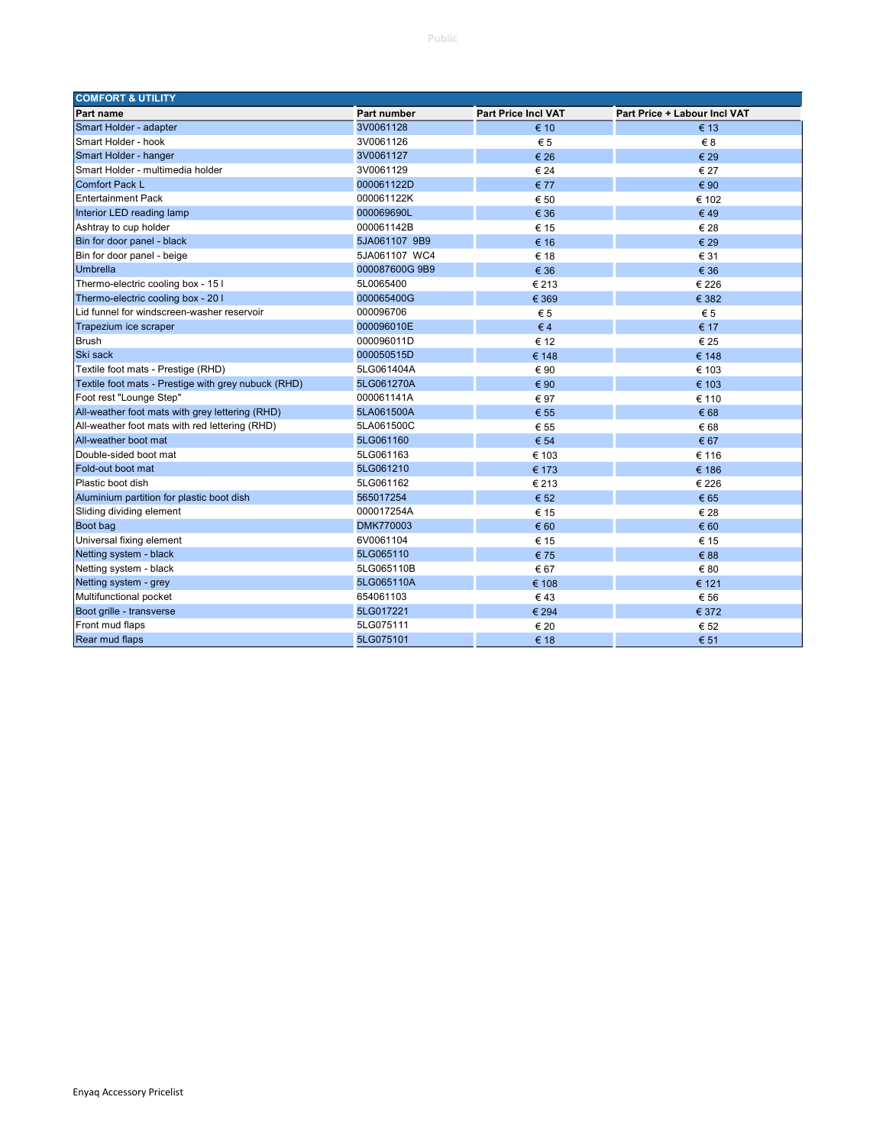| <b>COMFORT &amp; UTILITY</b>                        |                    |                            |                              |
|-----------------------------------------------------|--------------------|----------------------------|------------------------------|
| Part name                                           | <b>Part number</b> | <b>Part Price Incl VAT</b> | Part Price + Labour Incl VAT |
| Smart Holder - adapter                              | 3V0061128          | € 10                       | € 13                         |
| Smart Holder - hook                                 | 3V0061126          | $\epsilon$ 5               | $\epsilon$ 8                 |
| Smart Holder - hanger                               | 3V0061127          | € 26                       | € 29                         |
| Smart Holder - multimedia holder                    | 3V0061129          | € 24                       | € 27                         |
| Comfort Pack L                                      | 000061122D         | € 77                       | € 90                         |
| <b>Entertainment Pack</b>                           | 000061122K         | € 50                       | € 102                        |
| Interior LED reading lamp                           | 000069690L         | € 36                       | €49                          |
| Ashtray to cup holder                               | 000061142B         | € 15                       | € 28                         |
| Bin for door panel - black                          | 5JA061107 9B9      | € 16                       | € 29                         |
| Bin for door panel - beige                          | 5JA061107 WC4      | € 18                       | € 31                         |
| Umbrella                                            | 000087600G 9B9     | € 36                       | € 36                         |
| Thermo-electric cooling box - 15 I                  | 5L0065400          | € 213                      | € 226                        |
| Thermo-electric cooling box - 20 I                  | 000065400G         | € 369                      | € 382                        |
| Lid funnel for windscreen-washer reservoir          | 000096706          | $\epsilon$ 5               | € 5                          |
| Trapezium ice scraper                               | 000096010E         | $\epsilon$ 4               | € 17                         |
| <b>Brush</b>                                        | 000096011D         | € 12                       | € 25                         |
| Ski sack                                            | 000050515D         | € 148                      | € 148                        |
| Textile foot mats - Prestige (RHD)                  | 5LG061404A         | € 90                       | € 103                        |
| Textile foot mats - Prestige with grey nubuck (RHD) | 5LG061270A         | € 90                       | € 103                        |
| Foot rest "Lounge Step"                             | 000061141A         | € 97                       | € 110                        |
| All-weather foot mats with grey lettering (RHD)     | 5LA061500A         | € 55                       | € 68                         |
| All-weather foot mats with red lettering (RHD)      | 5LA061500C         | € 55                       | € 68                         |
| All-weather boot mat                                | 5LG061160          | € 54                       | € 67                         |
| Double-sided boot mat                               | 5LG061163          | € 103                      | € 116                        |
| Fold-out boot mat                                   | 5LG061210          | € 173                      | € 186                        |
| Plastic boot dish                                   | 5LG061162          | € 213                      | € 226                        |
| Aluminium partition for plastic boot dish           | 565017254          | € 52                       | € 65                         |
| Sliding dividing element                            | 000017254A         | € 15                       | € 28                         |
| Boot bag                                            | <b>DMK770003</b>   | € 60                       | € 60                         |
| Universal fixing element                            | 6V0061104          | € 15                       | € 15                         |
| Netting system - black                              | 5LG065110          | €75                        | € 88                         |
| Netting system - black                              | 5LG065110B         | € 67                       | € 80                         |
| Netting system - grey                               | 5LG065110A         | € 108                      | € 121                        |
| Multifunctional pocket                              | 654061103          | €43                        | € 56                         |
| Boot grille - transverse                            | 5LG017221          | € 294                      | € 372                        |
| Front mud flaps                                     | 5LG075111          | € 20                       | € 52                         |
| Rear mud flaps                                      | 5LG075101          | € 18                       | € 51                         |